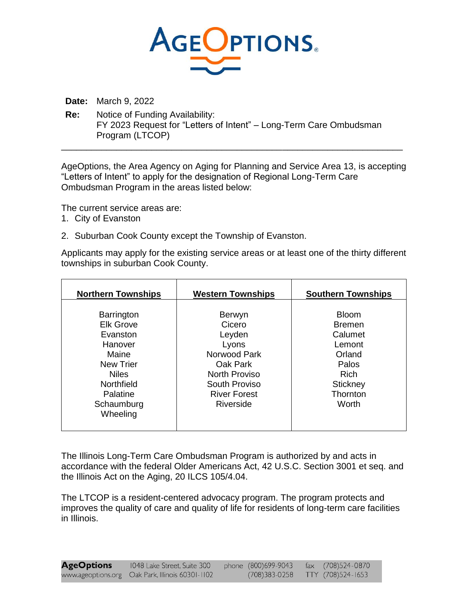

**Date:** March 9, 2022

**Re:** Notice of Funding Availability: FY 2023 Request for "Letters of Intent" – Long-Term Care Ombudsman Program (LTCOP)

AgeOptions, the Area Agency on Aging for Planning and Service Area 13, is accepting "Letters of Intent" to apply for the designation of Regional Long-Term Care Ombudsman Program in the areas listed below:

\_\_\_\_\_\_\_\_\_\_\_\_\_\_\_\_\_\_\_\_\_\_\_\_\_\_\_\_\_\_\_\_\_\_\_\_\_\_\_\_\_\_\_\_\_\_\_\_\_\_\_\_\_\_\_\_\_\_\_\_\_\_\_\_\_\_\_\_

The current service areas are:

- 1. City of Evanston
- 2. Suburban Cook County except the Township of Evanston.

Applicants may apply for the existing service areas or at least one of the thirty different townships in suburban Cook County.

| <b>Northern Townships</b>                                                                                                           | <b>Western Townships</b>                                                                                                        | <b>Southern Townships</b>                                                                                    |
|-------------------------------------------------------------------------------------------------------------------------------------|---------------------------------------------------------------------------------------------------------------------------------|--------------------------------------------------------------------------------------------------------------|
| <b>Barrington</b><br><b>Elk Grove</b><br>Evanston<br>Hanover<br>Maine<br><b>New Trier</b><br><b>Niles</b><br>Northfield<br>Palatine | Berwyn<br>Cicero<br>Leyden<br>Lyons<br>Norwood Park<br>Oak Park<br><b>North Proviso</b><br>South Proviso<br><b>River Forest</b> | <b>Bloom</b><br><b>Bremen</b><br>Calumet<br>Lemont<br>Orland<br>Palos<br><b>Rich</b><br>Stickney<br>Thornton |
| Schaumburg<br>Wheeling                                                                                                              | <b>Riverside</b>                                                                                                                | Worth                                                                                                        |

The Illinois Long-Term Care Ombudsman Program is authorized by and acts in accordance with the federal Older Americans Act, 42 U.S.C. Section 3001 et seq. and the Illinois Act on the Aging, 20 ILCS 105/4.04.

The LTCOP is a resident-centered advocacy program. The program protects and improves the quality of care and quality of life for residents of long-term care facilities in Illinois.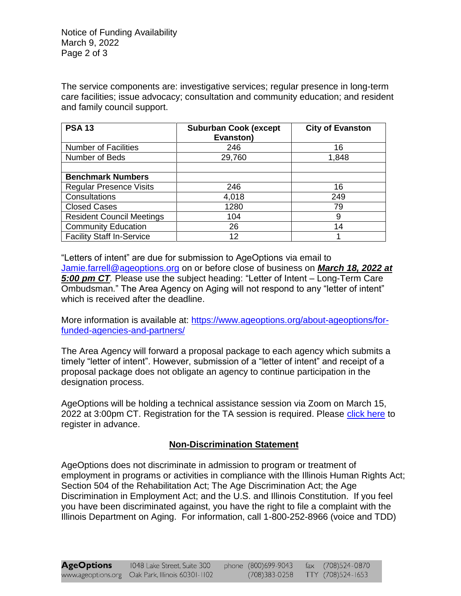Notice of Funding Availability March 9, 2022 Page 2 of 3

The service components are: investigative services; regular presence in long-term care facilities; issue advocacy; consultation and community education; and resident and family council support.

| <b>PSA 13</b>                    | <b>Suburban Cook (except</b><br>Evanston) | <b>City of Evanston</b> |
|----------------------------------|-------------------------------------------|-------------------------|
| <b>Number of Facilities</b>      | 246                                       | 16                      |
| Number of Beds                   | 29,760                                    | 1,848                   |
|                                  |                                           |                         |
| <b>Benchmark Numbers</b>         |                                           |                         |
| <b>Regular Presence Visits</b>   | 246                                       | 16                      |
| Consultations                    | 4,018                                     | 249                     |
| <b>Closed Cases</b>              | 1280                                      | 79                      |
| <b>Resident Council Meetings</b> | 104                                       | 9                       |
| <b>Community Education</b>       | 26                                        | 14                      |
| <b>Facility Staff In-Service</b> | 12                                        |                         |

"Letters of intent" are due for submission to AgeOptions via email to [Jamie.farrell@ageoptions.org](mailto:Jamie.farrell@ageoptions.org) on or before close of business on *March 18, 2022 at 5:00 pm CT.* Please use the subject heading: "Letter of Intent – Long-Term Care Ombudsman." The Area Agency on Aging will not respond to any "letter of intent" which is received after the deadline.

More information is available at: [https://www.ageoptions.org/about-ageoptions/for](https://www.ageoptions.org/about-ageoptions/for-funded-agencies-and-partners/)[funded-agencies-and-partners/](https://www.ageoptions.org/about-ageoptions/for-funded-agencies-and-partners/)

The Area Agency will forward a proposal package to each agency which submits a timely "letter of intent". However, submission of a "letter of intent" and receipt of a proposal package does not obligate an agency to continue participation in the designation process.

AgeOptions will be holding a technical assistance session via Zoom on March 15, 2022 at 3:00pm CT. Registration for the TA session is required. Please [click here](https://us06web.zoom.us/meeting/register/tZwkf-irqzMsHd1SPTdx2r94GVHMikpu5ouV) to register in advance.

## **Non-Discrimination Statement**

AgeOptions does not discriminate in admission to program or treatment of employment in programs or activities in compliance with the Illinois Human Rights Act; Section 504 of the Rehabilitation Act; The Age Discrimination Act; the Age Discrimination in Employment Act; and the U.S. and Illinois Constitution. If you feel you have been discriminated against, you have the right to file a complaint with the Illinois Department on Aging. For information, call 1-800-252-8966 (voice and TDD)